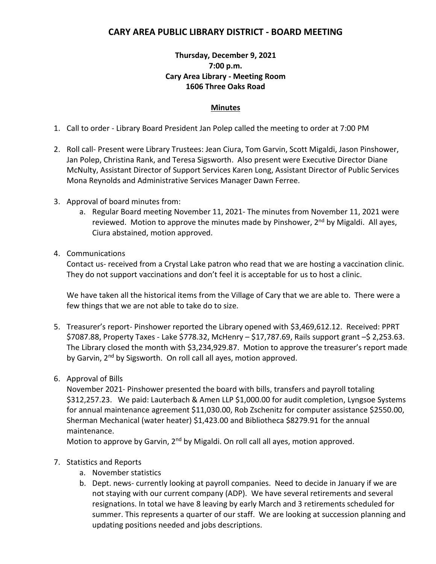## **CARY AREA PUBLIC LIBRARY DISTRICT - BOARD MEETING**

## **Thursday, December 9, 2021 7:00 p.m. Cary Area Library - Meeting Room 1606 Three Oaks Road**

## **Minutes**

- 1. Call to order Library Board President Jan Polep called the meeting to order at 7:00 PM
- 2. Roll call- Present were Library Trustees: Jean Ciura, Tom Garvin, Scott Migaldi, Jason Pinshower, Jan Polep, Christina Rank, and Teresa Sigsworth. Also present were Executive Director Diane McNulty, Assistant Director of Support Services Karen Long, Assistant Director of Public Services Mona Reynolds and Administrative Services Manager Dawn Ferree.
- 3. Approval of board minutes from:
	- a. Regular Board meeting November 11, 2021- The minutes from November 11, 2021 were reviewed. Motion to approve the minutes made by Pinshower, 2<sup>nd</sup> by Migaldi. All ayes, Ciura abstained, motion approved.
- 4. Communications

Contact us- received from a Crystal Lake patron who read that we are hosting a vaccination clinic. They do not support vaccinations and don't feel it is acceptable for us to host a clinic.

We have taken all the historical items from the Village of Cary that we are able to. There were a few things that we are not able to take do to size.

- 5. Treasurer's report- Pinshower reported the Library opened with \$3,469,612.12. Received: PPRT \$7087.88, Property Taxes - Lake \$778.32, McHenry – \$17,787.69, Rails support grant –\$ 2,253.63. The Library closed the month with \$3,234,929.87. Motion to approve the treasurer's report made by Garvin, 2<sup>nd</sup> by Sigsworth. On roll call all ayes, motion approved.
- 6. Approval of Bills

November 2021- Pinshower presented the board with bills, transfers and payroll totaling \$312,257.23. We paid: Lauterbach & Amen LLP \$1,000.00 for audit completion, Lyngsoe Systems for annual maintenance agreement \$11,030.00, Rob Zschenitz for computer assistance \$2550.00, Sherman Mechanical (water heater) \$1,423.00 and Bibliotheca \$8279.91 for the annual maintenance.

Motion to approve by Garvin,  $2<sup>nd</sup>$  by Migaldi. On roll call all ayes, motion approved.

## 7. Statistics and Reports

- a. November statistics
- b. Dept. news- currently looking at payroll companies. Need to decide in January if we are not staying with our current company (ADP). We have several retirements and several resignations. In total we have 8 leaving by early March and 3 retirements scheduled for summer. This represents a quarter of our staff. We are looking at succession planning and updating positions needed and jobs descriptions.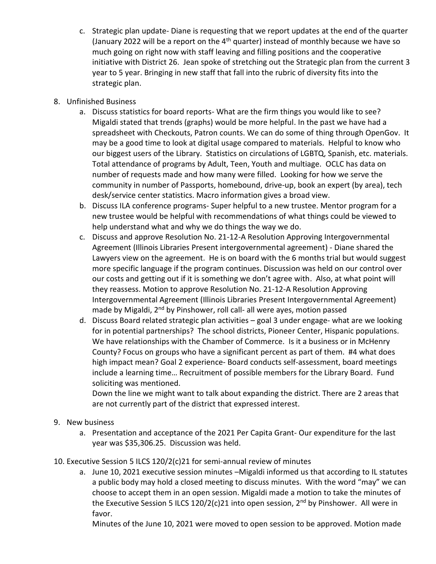- c. Strategic plan update- Diane is requesting that we report updates at the end of the quarter (January 2022 will be a report on the  $4<sup>th</sup>$  quarter) instead of monthly because we have so much going on right now with staff leaving and filling positions and the cooperative initiative with District 26. Jean spoke of stretching out the Strategic plan from the current 3 year to 5 year. Bringing in new staff that fall into the rubric of diversity fits into the strategic plan.
- 8. Unfinished Business
	- a. Discuss statistics for board reports- What are the firm things you would like to see? Migaldi stated that trends (graphs) would be more helpful. In the past we have had a spreadsheet with Checkouts, Patron counts. We can do some of thing through OpenGov. It may be a good time to look at digital usage compared to materials. Helpful to know who our biggest users of the Library. Statistics on circulations of LGBTQ, Spanish, etc. materials. Total attendance of programs by Adult, Teen, Youth and multiage. OCLC has data on number of requests made and how many were filled. Looking for how we serve the community in number of Passports, homebound, drive-up, book an expert (by area), tech desk/service center statistics. Macro information gives a broad view.
	- b. Discuss ILA conference programs- Super helpful to a new trustee. Mentor program for a new trustee would be helpful with recommendations of what things could be viewed to help understand what and why we do things the way we do.
	- c. Discuss and approve Resolution No. 21-12-A Resolution Approving Intergovernmental Agreement (Illinois Libraries Present intergovernmental agreement) - Diane shared the Lawyers view on the agreement. He is on board with the 6 months trial but would suggest more specific language if the program continues. Discussion was held on our control over our costs and getting out if it is something we don't agree with. Also, at what point will they reassess. Motion to approve Resolution No. 21-12-A Resolution Approving Intergovernmental Agreement (Illinois Libraries Present Intergovernmental Agreement) made by Migaldi, 2<sup>nd</sup> by Pinshower, roll call- all were ayes, motion passed
	- d. Discuss Board related strategic plan activities goal 3 under engage- what are we looking for in potential partnerships? The school districts, Pioneer Center, Hispanic populations. We have relationships with the Chamber of Commerce. Is it a business or in McHenry County? Focus on groups who have a significant percent as part of them. #4 what does high impact mean? Goal 2 experience- Board conducts self-assessment, board meetings include a learning time… Recruitment of possible members for the Library Board. Fund soliciting was mentioned.

Down the line we might want to talk about expanding the district. There are 2 areas that are not currently part of the district that expressed interest.

- 9. New business
	- a. Presentation and acceptance of the 2021 Per Capita Grant- Our expenditure for the last year was \$35,306.25. Discussion was held.
- 10. Executive Session 5 ILCS 120/2(c)21 for semi-annual review of minutes
	- a. June 10, 2021 executive session minutes –Migaldi informed us that according to IL statutes a public body may hold a closed meeting to discuss minutes. With the word "may" we can choose to accept them in an open session. Migaldi made a motion to take the minutes of the Executive Session 5 ILCS 120/2(c)21 into open session,  $2^{nd}$  by Pinshower. All were in favor.

Minutes of the June 10, 2021 were moved to open session to be approved. Motion made